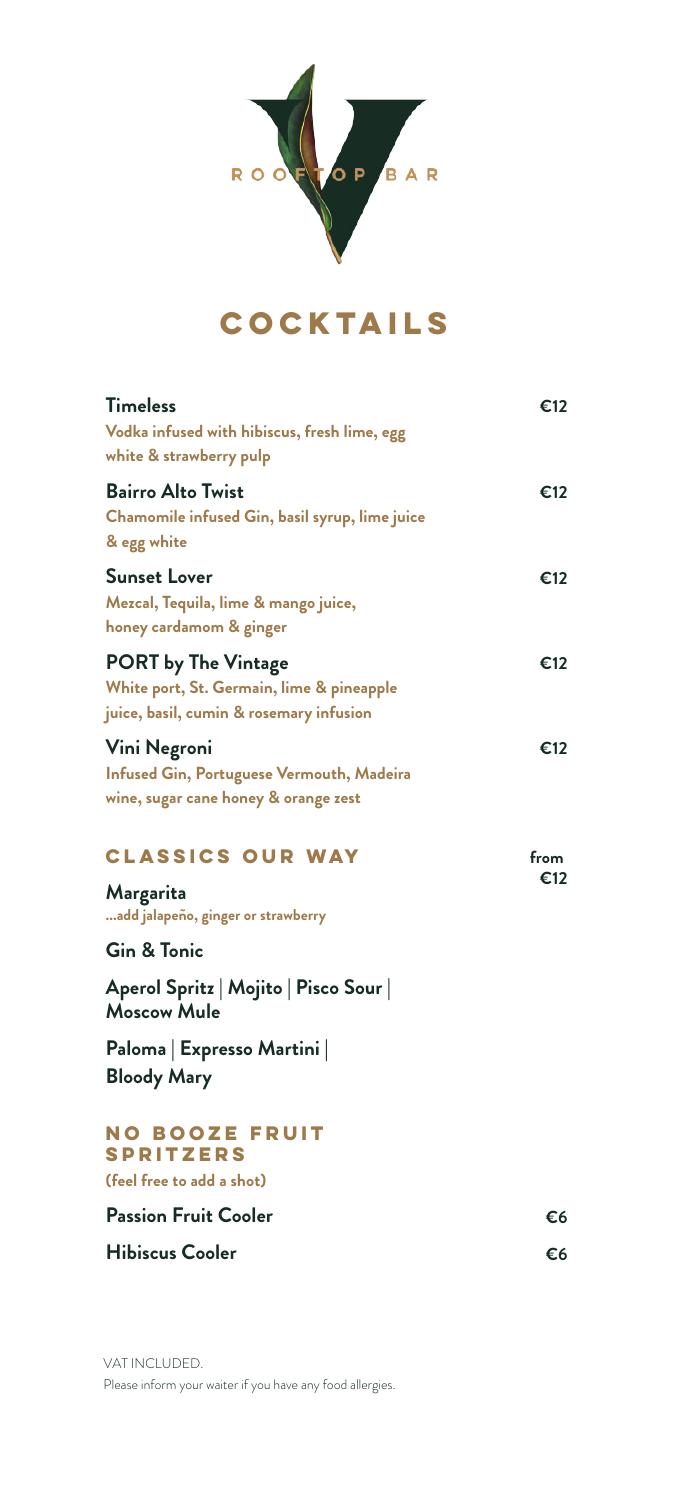

## **Cocktails**

| €12         |
|-------------|
| €12         |
| €12         |
| €12         |
| €12         |
| from<br>€12 |
|             |
|             |
|             |
|             |
| €6          |
| €6          |
|             |